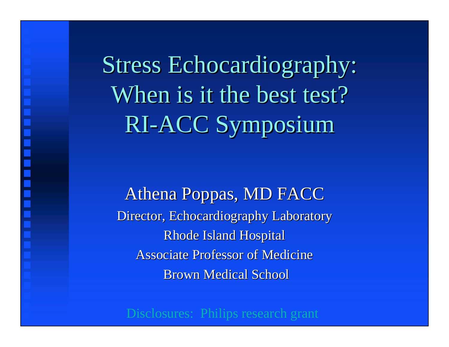Stress Echocardiography: Stress Echocardiography: When is it the best test? RI-ACC Symposium RI-ACC Symposium

Athena Poppas, MD FACC Director, Echocardiography Laboratory Rhode Island Hospital Associate Professor of Medicine **Brown Medical School** 

Disclosures: Philips research grant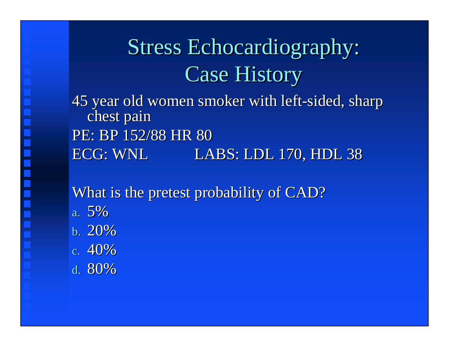## Stress Echocardiography: Stress Echocardiography: Case History Case History

45 year old women smoker with left-sided, sharp chest pain PE: BP 152/88 HR 80 ECG: WNL ECG: WNL LABS: LDL 170, HDL 38 LABS: LDL 170, HDL 38

What is the pretest probability of CAD?

- a. 5% b. 20%
- c. 40%
- d. 80%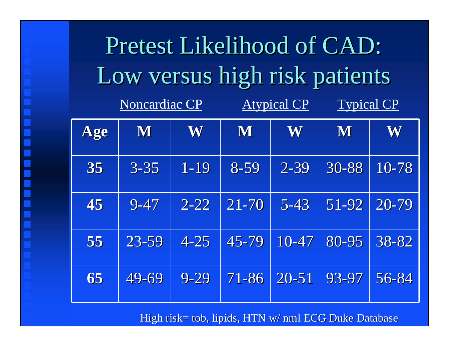| Pretest Likelihood of CAD:    |                      |          |                    |           |                   |       |  |  |
|-------------------------------|----------------------|----------|--------------------|-----------|-------------------|-------|--|--|
| Low versus high risk patients |                      |          |                    |           |                   |       |  |  |
|                               | <b>Noncardiac CP</b> |          | <b>Atypical CP</b> |           | <b>Typical CP</b> |       |  |  |
| Age                           | M                    | W        | M                  | W         | M                 | W     |  |  |
| 35                            | $3 - 35$             | $1 - 19$ | 8-59               | $2 - 39$  | 30-88             | 10-78 |  |  |
| 45                            | $9 - 47$             | $2 - 22$ | $21 - 70$          | $5 - 43$  | $51 - 92$         | 20-79 |  |  |
| 55                            | 23-59                | $4 - 25$ | 45-79              | $10 - 47$ | 80-95             | 38-82 |  |  |
| 65                            | 49-69                | $9 - 29$ | 71-86              | $20 - 51$ | 93-97             | 56-84 |  |  |

High risk= tob, lipids, HTN w/ nml ECG Duke Database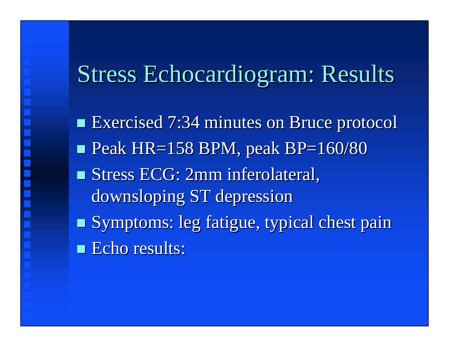### Stress Echocardiogram: Results

 Exercised 7:34 minutes on Bruce protocol Exercised 7:34 minutes on Bruce protocol  $\blacksquare$  Peak HR=158 BPM, peak BP=160/80 **Stress ECG: 2mm inferolateral,** downsloping ST depression Symptoms: leg fatigue, typical chest pain **Echo results:**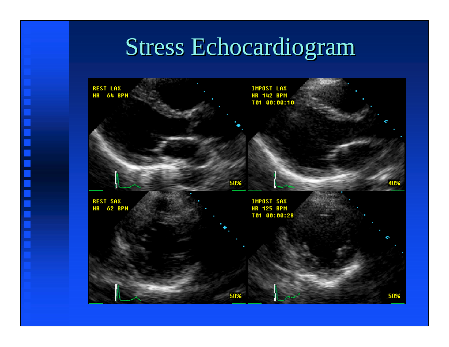### Stress Echocardiogram

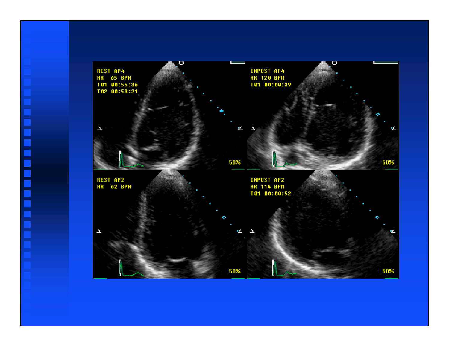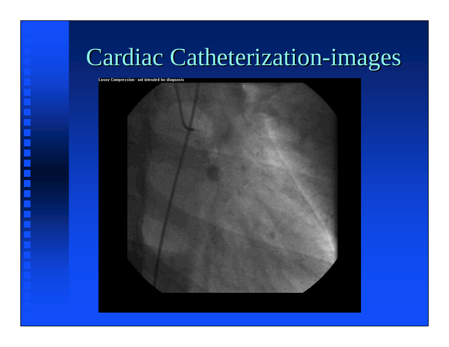## Cardiac Catheterization-images Cardiac Catheterization-images

Lossy Compression - not intended for diagnosis

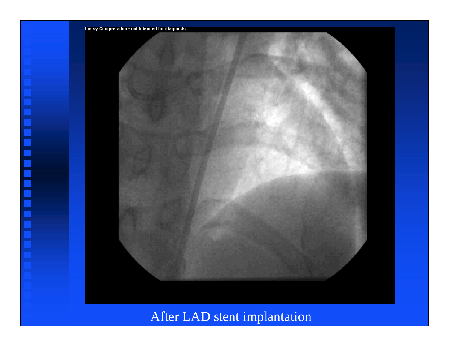

 $\overline{\phantom{a}}$ 

After LAD stent implantation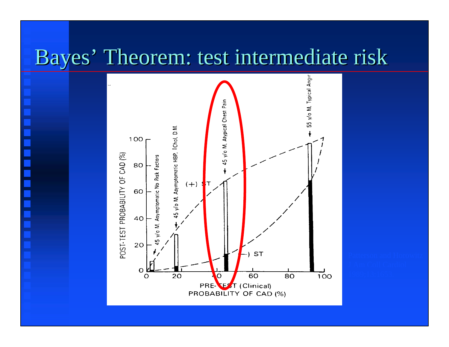#### Bayes' Theorem: test intermediate risk Bayes' Theorem: test intermediate risk

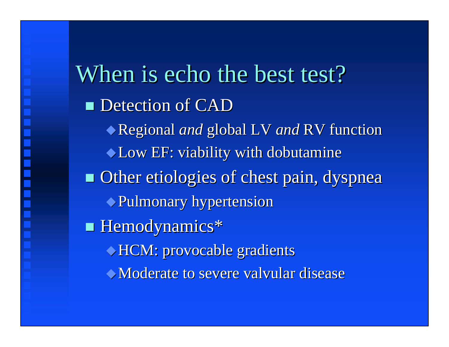When is echo the best test? **Detection of CAD** Regional *and* global LV and RV function Low EF: viability with dobutamine Low EF: viability with dobutamine **Other etiologies of chest pain, dyspnea** Pulmonary hypertension Pulmonary hypertension Hemodynamics\* Hemodynamics\* HCM: provocable gradients HCM: provocable gradients Moderate to severe valvular disease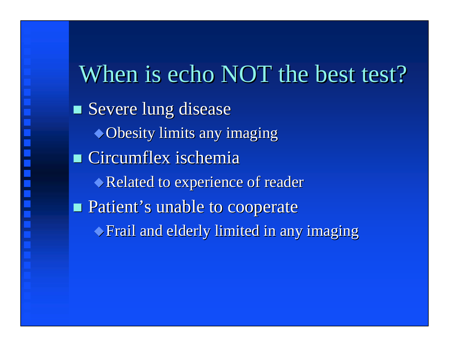When is echo NOT the best test? **Severe lung disease**  $\rightarrow$  Obesity limits any imaging  $\blacksquare$  Circumflex ischemia Related to experience of reader **Patient's unable to cooperate**  $\blacktriangleright$  Frail and elderly limited in any imaging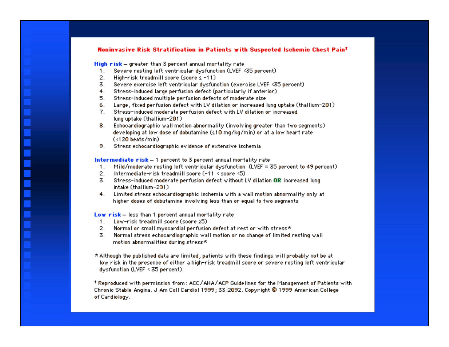#### Noninvasive Risk Stratification in Patients with Suspected Ischemic Chest Paint

High risk - greater than 3 percent annual mortality rate

- 1. Severe resting left ventricular dysfunction (LVEF <35 percent)
- 2. High-risk treadmill score (score ≤ -11)
- 3. Severe exercise left ventricular dysfunction (exercise LVEF <35 percent)
- 4. Stress-induced large perfusion defect (particularly if anterior)
- 5. Stress-induced multiple perfusion defects of moderate size
- 6. Large, fixed perfusion defect with LV dilation or increased lung uptake (thallium–201).
- 7. Stress-induced moderate perfusion defect with LV dilation or increased lung uptake (thallium-201)
- 8. Echocardiographic wall motion abnormality (involving greater than two segments) developing at low dose of dobutamine (≤10 mg/kg/min) or at a low heart rate  $($
- 9. Stress echocardiographic evidence of extensive ischemia.

#### Intermediate risk - 1 percent to 3 percent annual mortality rate

- 1. Mild/moderate resting left ventricular dysfunction (LVEF = 35 percent to 49 percent)
- 2. Intermediate-risk treadmill score (-11 < score <5).
- 3. Stress-induced moderate perfusion defect without LV dilation OR increased lung intake (thallium-201)
- 4. Limited stress echocardiographic ischemia with a wall motion abnormality only at higher doses of dobutamine involving less than or equal to two segments

#### Low risk - less than 1 percent annual mortality rate

- 1. Low-risk treadmill score (score  $25$ )
- 2. Normal or small myocardial perfusion defect at rest or with stress\*
- 3. Normal stress echocardiographic wall motion or no change of limited resting wall motion abnormalities during stress\*
- \* Although the published data are limited, patients with these findings will probably not be at low risk in the presence of either a high-risk treadmill score or severe resting left ventricular. dysfunction (LVEF < 35 percent).

t Reproduced with permission from: ACC/AHA/ACP Guidelines for the Management of Patients with Chronic Stable Angina. J Am Coll Cardiol 1999; 33:2092. Copyright @ 1999 American College of Cardiology.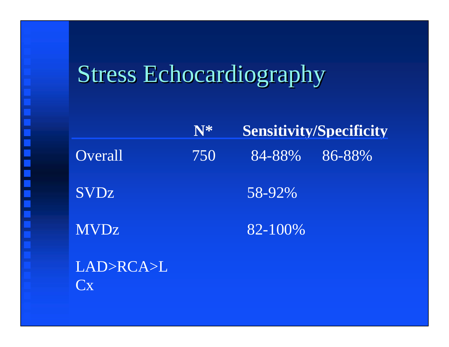## Stress Echocardiography

|             | N*  |         | <b>Sensitivity/Specificity</b> |
|-------------|-----|---------|--------------------------------|
| Overall     | 750 | 84-88%  | 86-88%                         |
| <b>SVDz</b> |     | 58-92%  |                                |
| <b>MVDz</b> |     | 82-100% |                                |

LAD>RCA>L Cx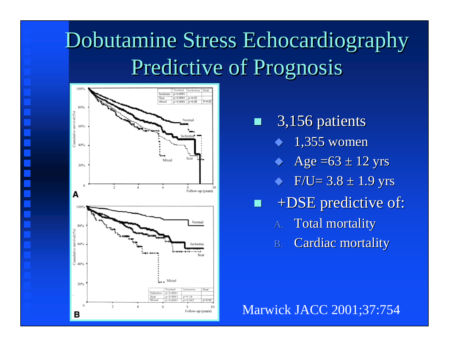## Dobutamine Stress Echocardiography Dobutamine Stress Echocardiography Predictive of Prognosis Predictive of Prognosis



3,156 patients 3,156 patients

- ◆ 1,355 women
- ◆  $\leftrightarrow$  Age =63  $\pm$  12 yrs
- $\blacklozenge$  $\blacklozenge$  F/U= 3.8  $\pm$  1.9 yrs
- +DSE predictive of: +DSE predictive of:
	- A. Total mortality
	- B.Cardiac mortality

Marwick JACC 2001;37:754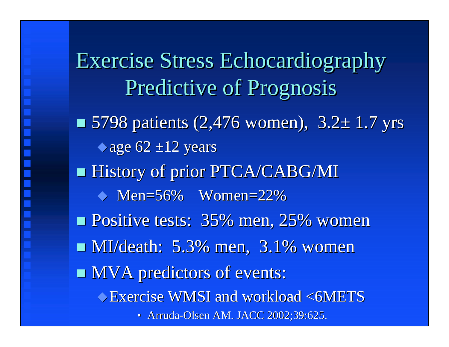Exercise Stress Echocardiography Exercise Stress Echocardiography Predictive of Prognosis Predictive of Prognosis  $\blacksquare$  5798 patients (2,476 women), 3.2 $\pm$  1.7 yrs  $\triangle$ age 62 ±12 years **History of prior PTCA/CABG/MI**  $\leftrightarrow$  Men=56% Women=22% Positive tests: 35% men, 25% women Positive tests: 35% men, 25% women **MI/death: 5.3% men, 3.1% women**  $\blacksquare$  MVA predictors of events: Exercise WMSI and workload <6METS Exercise WMSI and workload <6METS • Arruda-Olsen AM. JACC 2002;39:625.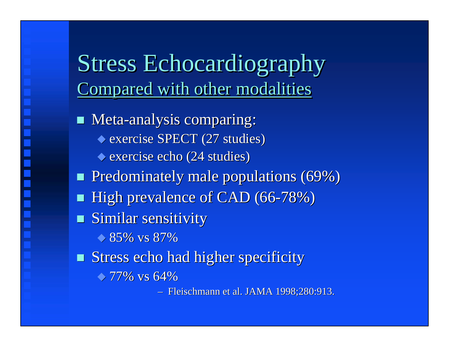### Stress Echocardiography Stress Echocardiography **Compared with other modalities**

**Meta-analysis comparing:**  $\blacklozenge$  exercise SPECT (27 studies)  $\bullet$  exercise echo (24 studies) Predominately male populations (69%) Predominately male populations (69%) ■ High prevalence of CAD (66-78%)  $\blacksquare$  Similar sensitivity  $\bullet$  85% vs 87% Stress echo had higher specificity 77% vs 64% 77% vs 64%–

- Fleischmann et al. JAMA 1998;280:913.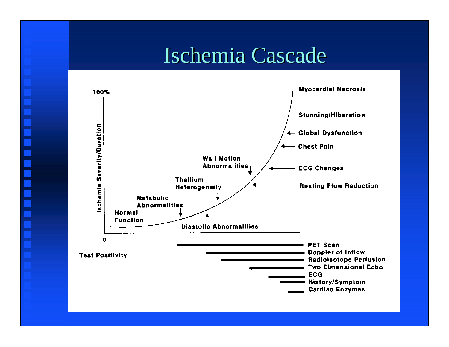#### Ischemia Cascade